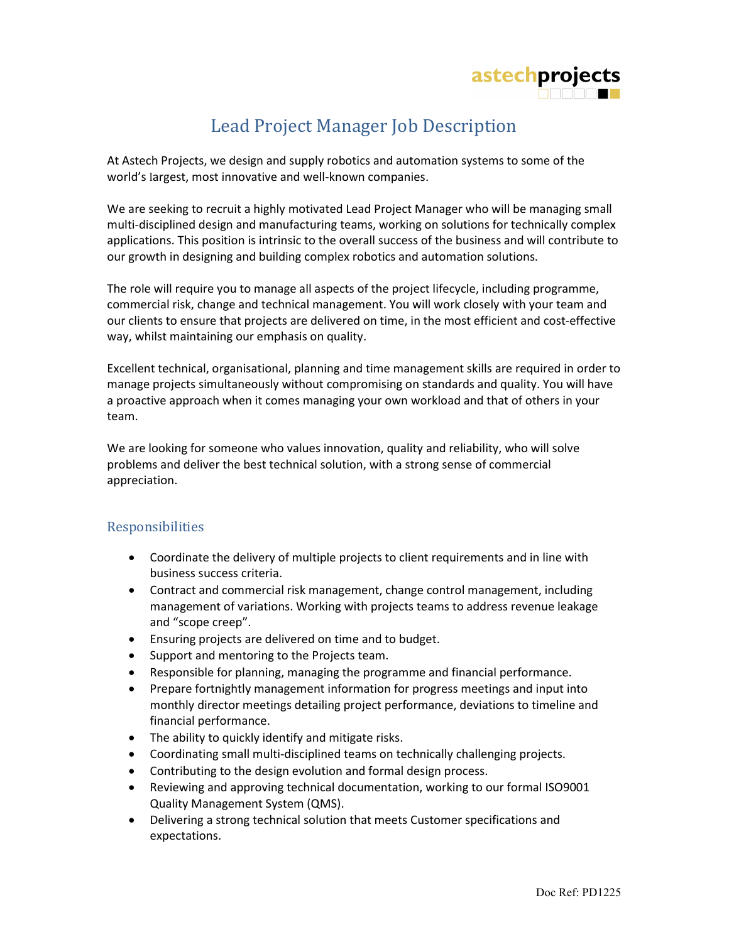

## Lead Project Manager Job Description

At Astech Projects, we design and supply robotics and automation systems to some of the world's largest, most innovative and well-known companies.

We are seeking to recruit a highly motivated Lead Project Manager who will be managing small multi-disciplined design and manufacturing teams, working on solutions for technically complex applications. This position is intrinsic to the overall success of the business and will contribute to our growth in designing and building complex robotics and automation solutions.

The role will require you to manage all aspects of the project lifecycle, including programme, commercial risk, change and technical management. You will work closely with your team and our clients to ensure that projects are delivered on time, in the most efficient and cost-effective way, whilst maintaining our emphasis on quality.

Excellent technical, organisational, planning and time management skills are required in order to manage projects simultaneously without compromising on standards and quality. You will have a proactive approach when it comes managing your own workload and that of others in your team.

We are looking for someone who values innovation, quality and reliability, who will solve problems and deliver the best technical solution, with a strong sense of commercial appreciation.

## Responsibilities

- Coordinate the delivery of multiple projects to client requirements and in line with business success criteria.
- Contract and commercial risk management, change control management, including management of variations. Working with projects teams to address revenue leakage and "scope creep".
- Ensuring projects are delivered on time and to budget.
- Support and mentoring to the Projects team.
- Responsible for planning, managing the programme and financial performance.
- Prepare fortnightly management information for progress meetings and input into monthly director meetings detailing project performance, deviations to timeline and financial performance.
- The ability to quickly identify and mitigate risks.
- Coordinating small multi-disciplined teams on technically challenging projects.
- Contributing to the design evolution and formal design process.
- Reviewing and approving technical documentation, working to our formal ISO9001 Quality Management System (QMS).
- Delivering a strong technical solution that meets Customer specifications and expectations.